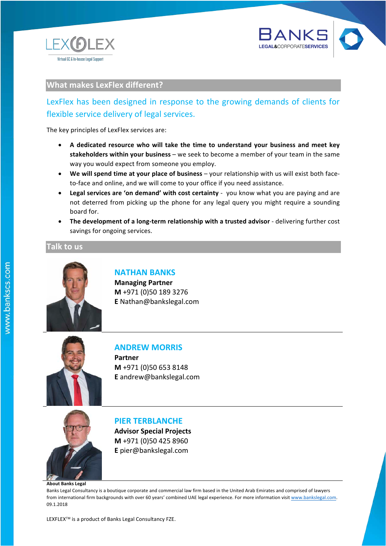www.bankslegal.com